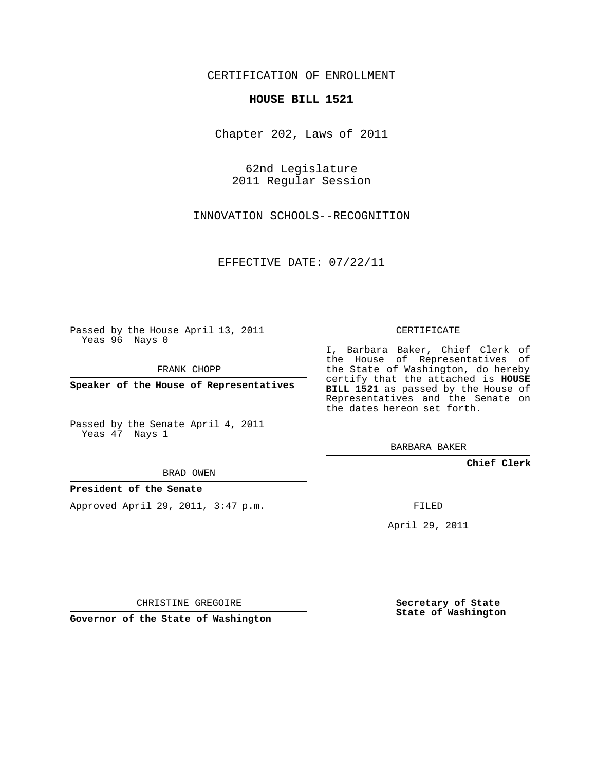# CERTIFICATION OF ENROLLMENT

### **HOUSE BILL 1521**

Chapter 202, Laws of 2011

62nd Legislature 2011 Regular Session

INNOVATION SCHOOLS--RECOGNITION

EFFECTIVE DATE: 07/22/11

Passed by the House April 13, 2011 Yeas 96 Nays 0

FRANK CHOPP

**Speaker of the House of Representatives**

Passed by the Senate April 4, 2011 Yeas 47 Nays 1

BRAD OWEN

## **President of the Senate**

Approved April 29, 2011, 3:47 p.m.

CERTIFICATE

I, Barbara Baker, Chief Clerk of the House of Representatives of the State of Washington, do hereby certify that the attached is **HOUSE BILL 1521** as passed by the House of Representatives and the Senate on the dates hereon set forth.

BARBARA BAKER

**Chief Clerk**

FILED

April 29, 2011

CHRISTINE GREGOIRE

**Governor of the State of Washington**

**Secretary of State State of Washington**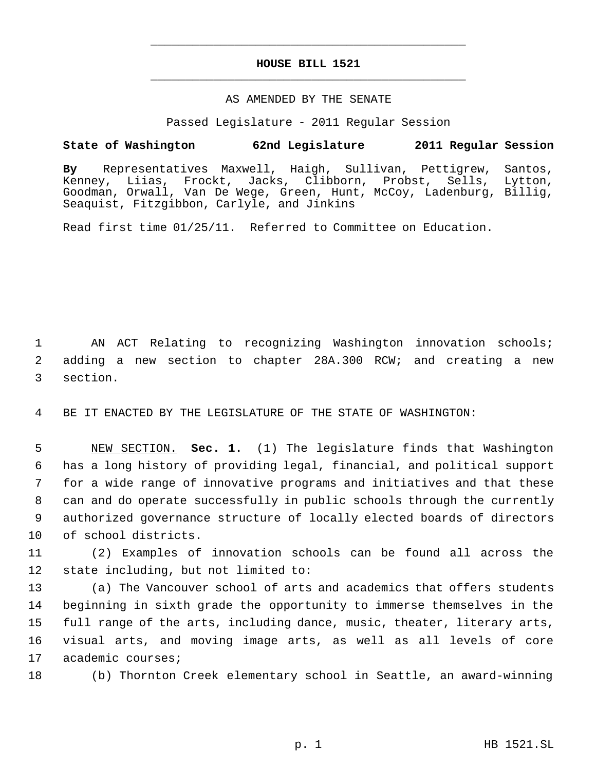# **HOUSE BILL 1521** \_\_\_\_\_\_\_\_\_\_\_\_\_\_\_\_\_\_\_\_\_\_\_\_\_\_\_\_\_\_\_\_\_\_\_\_\_\_\_\_\_\_\_\_\_

\_\_\_\_\_\_\_\_\_\_\_\_\_\_\_\_\_\_\_\_\_\_\_\_\_\_\_\_\_\_\_\_\_\_\_\_\_\_\_\_\_\_\_\_\_

### AS AMENDED BY THE SENATE

Passed Legislature - 2011 Regular Session

# **State of Washington 62nd Legislature 2011 Regular Session**

**By** Representatives Maxwell, Haigh, Sullivan, Pettigrew, Santos, Kenney, Liias, Frockt, Jacks, Clibborn, Probst, Sells, Lytton, Goodman, Orwall, Van De Wege, Green, Hunt, McCoy, Ladenburg, Billig, Seaquist, Fitzgibbon, Carlyle, and Jinkins

Read first time 01/25/11. Referred to Committee on Education.

 1 AN ACT Relating to recognizing Washington innovation schools; 2 adding a new section to chapter 28A.300 RCW; and creating a new 3 section.

4 BE IT ENACTED BY THE LEGISLATURE OF THE STATE OF WASHINGTON:

 NEW SECTION. **Sec. 1.** (1) The legislature finds that Washington has a long history of providing legal, financial, and political support for a wide range of innovative programs and initiatives and that these can and do operate successfully in public schools through the currently authorized governance structure of locally elected boards of directors of school districts.

11 (2) Examples of innovation schools can be found all across the 12 state including, but not limited to:

 (a) The Vancouver school of arts and academics that offers students beginning in sixth grade the opportunity to immerse themselves in the full range of the arts, including dance, music, theater, literary arts, visual arts, and moving image arts, as well as all levels of core academic courses;

18 (b) Thornton Creek elementary school in Seattle, an award-winning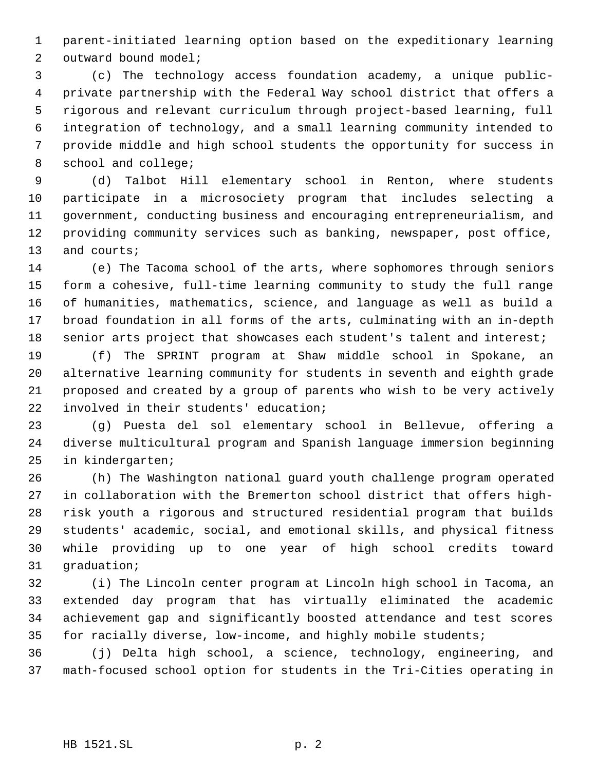parent-initiated learning option based on the expeditionary learning outward bound model;

 (c) The technology access foundation academy, a unique public- private partnership with the Federal Way school district that offers a rigorous and relevant curriculum through project-based learning, full integration of technology, and a small learning community intended to provide middle and high school students the opportunity for success in school and college;

 (d) Talbot Hill elementary school in Renton, where students participate in a microsociety program that includes selecting a government, conducting business and encouraging entrepreneurialism, and providing community services such as banking, newspaper, post office, and courts;

 (e) The Tacoma school of the arts, where sophomores through seniors form a cohesive, full-time learning community to study the full range of humanities, mathematics, science, and language as well as build a broad foundation in all forms of the arts, culminating with an in-depth senior arts project that showcases each student's talent and interest;

 (f) The SPRINT program at Shaw middle school in Spokane, an alternative learning community for students in seventh and eighth grade proposed and created by a group of parents who wish to be very actively involved in their students' education;

 (g) Puesta del sol elementary school in Bellevue, offering a diverse multicultural program and Spanish language immersion beginning in kindergarten;

 (h) The Washington national guard youth challenge program operated in collaboration with the Bremerton school district that offers high- risk youth a rigorous and structured residential program that builds students' academic, social, and emotional skills, and physical fitness while providing up to one year of high school credits toward graduation;

 (i) The Lincoln center program at Lincoln high school in Tacoma, an extended day program that has virtually eliminated the academic achievement gap and significantly boosted attendance and test scores for racially diverse, low-income, and highly mobile students;

 (j) Delta high school, a science, technology, engineering, and math-focused school option for students in the Tri-Cities operating in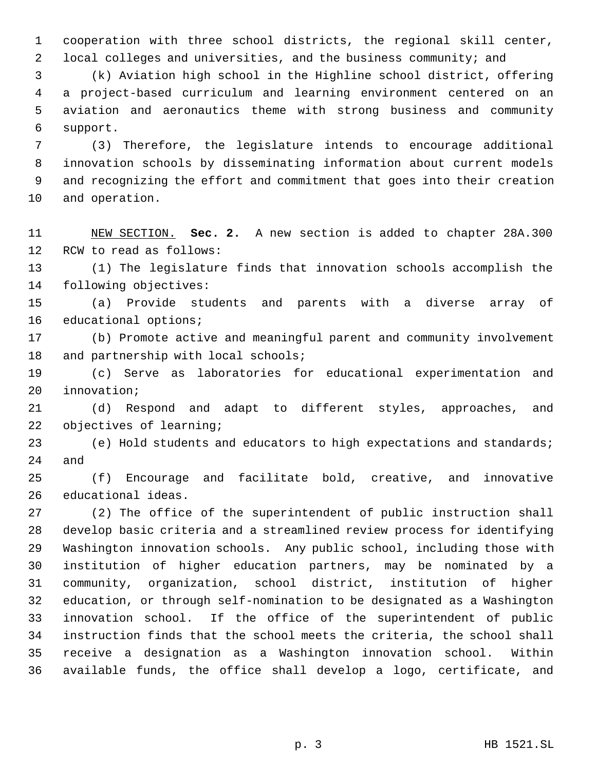cooperation with three school districts, the regional skill center, local colleges and universities, and the business community; and

 (k) Aviation high school in the Highline school district, offering a project-based curriculum and learning environment centered on an aviation and aeronautics theme with strong business and community support.

 (3) Therefore, the legislature intends to encourage additional innovation schools by disseminating information about current models and recognizing the effort and commitment that goes into their creation and operation.

 NEW SECTION. **Sec. 2.** A new section is added to chapter 28A.300 RCW to read as follows:

 (1) The legislature finds that innovation schools accomplish the following objectives:

 (a) Provide students and parents with a diverse array of educational options;

 (b) Promote active and meaningful parent and community involvement 18 and partnership with local schools;

 (c) Serve as laboratories for educational experimentation and innovation;

 (d) Respond and adapt to different styles, approaches, and objectives of learning;

 (e) Hold students and educators to high expectations and standards; and

 (f) Encourage and facilitate bold, creative, and innovative educational ideas.

 (2) The office of the superintendent of public instruction shall develop basic criteria and a streamlined review process for identifying Washington innovation schools. Any public school, including those with institution of higher education partners, may be nominated by a community, organization, school district, institution of higher education, or through self-nomination to be designated as a Washington innovation school. If the office of the superintendent of public instruction finds that the school meets the criteria, the school shall receive a designation as a Washington innovation school. Within available funds, the office shall develop a logo, certificate, and